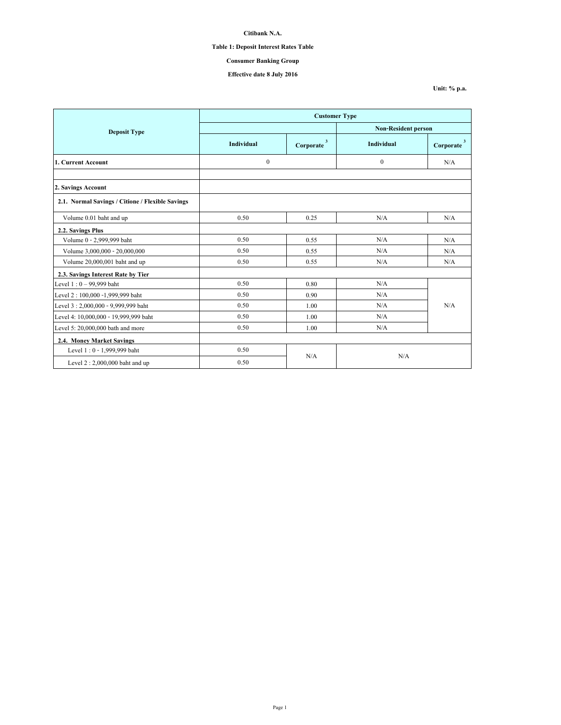# **Table 1: Deposit Interest Rates Table**

# **Consumer Banking Group**

## **Effective date 8 July 2016**

**Unit: % p.a.**

|                                                  | <b>Customer Type</b> |                           |                            |                                      |  |
|--------------------------------------------------|----------------------|---------------------------|----------------------------|--------------------------------------|--|
| <b>Deposit Type</b>                              |                      |                           | <b>Non-Resident person</b> |                                      |  |
|                                                  | <b>Individual</b>    | $\mathbf{3}$<br>Corporate | <b>Individual</b>          | $\overline{\mathbf{3}}$<br>Corporate |  |
| 1. Current Account                               | $\boldsymbol{0}$     |                           | $\theta$                   | N/A                                  |  |
|                                                  |                      |                           |                            |                                      |  |
| 2. Savings Account                               |                      |                           |                            |                                      |  |
| 2.1. Normal Savings / Citione / Flexible Savings |                      |                           |                            |                                      |  |
| Volume 0.01 baht and up                          | 0.50                 | 0.25                      | N/A                        | N/A                                  |  |
| 2.2. Savings Plus                                |                      |                           |                            |                                      |  |
| Volume 0 - 2,999,999 baht                        | 0.50                 | 0.55                      | N/A                        | N/A                                  |  |
| Volume 3,000,000 - 20,000,000                    | 0.50                 | 0.55                      | N/A                        | N/A                                  |  |
| Volume 20,000,001 baht and up                    | 0.50                 | 0.55                      | N/A                        | N/A                                  |  |
| 2.3. Savings Interest Rate by Tier               |                      |                           |                            |                                      |  |
| Level $1:0 - 99,999$ baht                        | 0.50                 | 0.80                      | N/A                        |                                      |  |
| Level 2: 100,000 -1,999,999 baht                 | 0.50                 | 0.90                      | N/A                        |                                      |  |
| Level 3:2,000,000 - 9,999,999 baht               | 0.50                 | 1.00                      | N/A                        | N/A                                  |  |
| Level 4: 10,000,000 - 19,999,999 baht            | 0.50                 | 1.00                      | N/A                        |                                      |  |
| Level 5: 20,000,000 bath and more                | 0.50                 | 1.00                      | N/A                        |                                      |  |
| 2.4. Money Market Savings                        |                      |                           |                            |                                      |  |
| Level 1:0 - 1,999,999 baht                       | 0.50                 |                           |                            |                                      |  |
| Level $2:2,000,000$ baht and up                  | 0.50                 | N/A                       | N/A                        |                                      |  |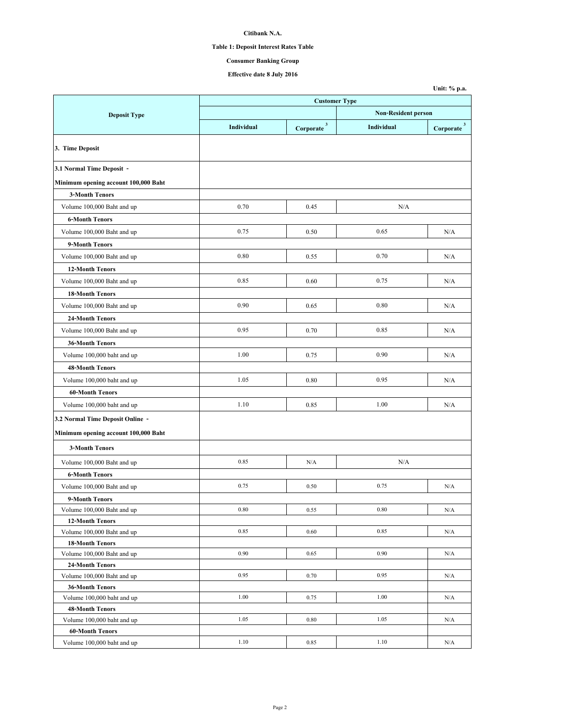# **Table 1: Deposit Interest Rates Table**

# **Consumer Banking Group**

**Unit: % p.a.**

|                                      | <b>Customer Type</b> |                        |                            |                          |  |
|--------------------------------------|----------------------|------------------------|----------------------------|--------------------------|--|
| <b>Deposit Type</b>                  |                      |                        | <b>Non-Resident person</b> |                          |  |
|                                      | Individual           | Corporate <sup>3</sup> | Individual                 | $Corporate$ <sup>3</sup> |  |
| 3. Time Deposit                      |                      |                        |                            |                          |  |
| 3.1 Normal Time Deposit -            |                      |                        |                            |                          |  |
| Minimum opening account 100,000 Baht |                      |                        |                            |                          |  |
| <b>3-Month Tenors</b>                |                      |                        |                            |                          |  |
| Volume 100,000 Baht and up           | 0.70                 | 0.45                   | N/A                        |                          |  |
| <b>6-Month Tenors</b>                |                      |                        |                            |                          |  |
| Volume 100,000 Baht and up           | 0.75                 | 0.50                   | 0.65                       | N/A                      |  |
| 9-Month Tenors                       |                      |                        |                            |                          |  |
| Volume 100,000 Baht and up           | 0.80                 | 0.55                   | 0.70                       | N/A                      |  |
| <b>12-Month Tenors</b>               |                      |                        |                            |                          |  |
| Volume 100,000 Baht and up           | 0.85                 | 0.60                   | 0.75                       | N/A                      |  |
| <b>18-Month Tenors</b>               |                      |                        |                            |                          |  |
| Volume 100,000 Baht and up           | 0.90                 | 0.65                   | 0.80                       | N/A                      |  |
| <b>24-Month Tenors</b>               |                      |                        |                            |                          |  |
|                                      | 0.95                 | 0.70                   | 0.85                       |                          |  |
| Volume 100,000 Baht and up           |                      |                        |                            | N/A                      |  |
| <b>36-Month Tenors</b>               |                      |                        |                            |                          |  |
| Volume 100,000 baht and up           | 1.00                 | 0.75                   | 0.90                       | N/A                      |  |
| <b>48-Month Tenors</b>               |                      |                        |                            |                          |  |
| Volume 100,000 baht and up           | 1.05                 | 0.80                   | 0.95                       | N/A                      |  |
| <b>60-Month Tenors</b>               |                      |                        |                            |                          |  |
| Volume 100,000 baht and up           | 1.10                 | 0.85                   | 1.00                       | N/A                      |  |
| 3.2 Normal Time Deposit Online -     |                      |                        |                            |                          |  |
| Minimum opening account 100,000 Baht |                      |                        |                            |                          |  |
| <b>3-Month Tenors</b>                |                      |                        |                            |                          |  |
| Volume 100,000 Baht and up           | 0.85                 | N/A                    | N/A                        |                          |  |
| <b>6-Month Tenors</b>                |                      |                        |                            |                          |  |
| Volume 100,000 Baht and up           | 0.75                 | 0.50                   | 0.75                       | N/A                      |  |
| 9-Month Tenors                       |                      |                        |                            |                          |  |
| Volume 100,000 Baht and up           | $\rm 0.80$           | 0.55                   | $0.80\,$                   | N/A                      |  |
| <b>12-Month Tenors</b>               |                      |                        |                            |                          |  |
| Volume 100,000 Baht and up           | 0.85                 | 0.60                   | 0.85                       | N/A                      |  |
| <b>18-Month Tenors</b>               |                      |                        |                            |                          |  |
| Volume 100,000 Baht and up           | 0.90                 | 0.65                   | 0.90                       | N/A                      |  |
| <b>24-Month Tenors</b>               |                      |                        |                            |                          |  |
| Volume 100,000 Baht and up           | 0.95                 | 0.70                   | 0.95                       | N/A                      |  |
| <b>36-Month Tenors</b>               |                      |                        |                            |                          |  |
| Volume 100,000 baht and up           | 1.00                 | 0.75                   | 1.00                       | N/A                      |  |
| <b>48-Month Tenors</b>               |                      |                        |                            |                          |  |
| Volume 100,000 baht and up           | 1.05                 | 0.80                   | 1.05                       | N/A                      |  |
| <b>60-Month Tenors</b>               |                      |                        |                            |                          |  |
| Volume 100,000 baht and up           | 1.10                 | 0.85                   | 1.10                       | N/A                      |  |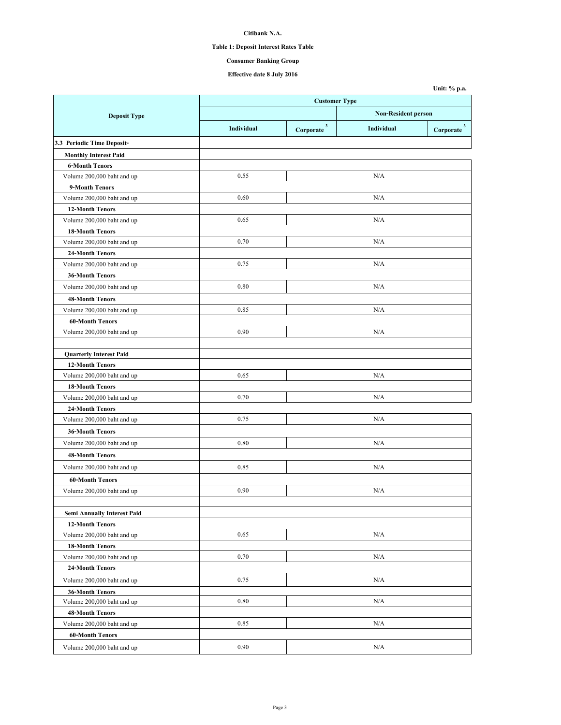# **Table 1: Deposit Interest Rates Table**

# **Consumer Banking Group**

**Unit: % p.a.**

|                                    | <b>Customer Type</b>       |                        |            |                          |
|------------------------------------|----------------------------|------------------------|------------|--------------------------|
| <b>Deposit Type</b>                | <b>Non-Resident person</b> |                        |            |                          |
|                                    | Individual                 | Corporate <sup>3</sup> | Individual | $Corporate$ <sup>3</sup> |
| 3.3 Periodic Time Deposit-         |                            |                        |            |                          |
| <b>Monthly Interest Paid</b>       |                            |                        |            |                          |
| <b>6-Month Tenors</b>              |                            |                        |            |                          |
| Volume 200,000 baht and up         | 0.55                       |                        | N/A        |                          |
| 9-Month Tenors                     |                            |                        |            |                          |
| Volume 200,000 baht and up         | 0.60                       |                        | N/A        |                          |
| <b>12-Month Tenors</b>             |                            |                        |            |                          |
| Volume 200,000 baht and up         | 0.65                       |                        | N/A        |                          |
| <b>18-Month Tenors</b>             |                            |                        |            |                          |
| Volume 200,000 baht and up         | 0.70                       |                        | N/A        |                          |
| 24-Month Tenors                    |                            |                        |            |                          |
| Volume 200,000 baht and up         | 0.75                       |                        | N/A        |                          |
| <b>36-Month Tenors</b>             |                            |                        |            |                          |
| Volume 200,000 baht and up         | 0.80                       |                        | N/A        |                          |
| <b>48-Month Tenors</b>             |                            |                        |            |                          |
| Volume 200,000 baht and up         | 0.85                       |                        | N/A        |                          |
| <b>60-Month Tenors</b>             |                            |                        |            |                          |
| Volume 200,000 baht and up         | 0.90                       |                        | N/A        |                          |
|                                    |                            |                        |            |                          |
| <b>Quarterly Interest Paid</b>     |                            |                        |            |                          |
| <b>12-Month Tenors</b>             |                            |                        |            |                          |
| Volume 200,000 baht and up         | 0.65                       |                        | N/A        |                          |
| <b>18-Month Tenors</b>             |                            |                        |            |                          |
| Volume 200,000 baht and up         | 0.70                       |                        | N/A        |                          |
| <b>24-Month Tenors</b>             |                            |                        |            |                          |
| Volume 200,000 baht and up         | 0.75                       |                        | N/A        |                          |
| <b>36-Month Tenors</b>             |                            |                        |            |                          |
| Volume 200,000 baht and up         | 0.80                       |                        | N/A        |                          |
| <b>48-Month Tenors</b>             |                            |                        |            |                          |
| Volume 200,000 baht and up         | 0.85                       |                        | N/A        |                          |
| <b>60-Month Tenors</b>             |                            |                        |            |                          |
| Volume 200,000 baht and up         | 0.90                       |                        | N/A        |                          |
|                                    |                            |                        |            |                          |
| <b>Semi Annually Interest Paid</b> |                            |                        |            |                          |
| <b>12-Month Tenors</b>             |                            |                        |            |                          |
| Volume 200,000 baht and up         | 0.65                       |                        | N/A        |                          |
| <b>18-Month Tenors</b>             |                            |                        |            |                          |
| Volume 200,000 baht and up         | 0.70                       |                        | N/A        |                          |
| 24-Month Tenors                    |                            |                        |            |                          |
| Volume 200,000 baht and up         | 0.75                       |                        | N/A        |                          |
| <b>36-Month Tenors</b>             |                            |                        |            |                          |
| Volume 200,000 baht and up         | 0.80                       |                        | N/A        |                          |
| 48-Month Tenors                    |                            |                        |            |                          |
| Volume 200,000 baht and up         | 0.85                       |                        | N/A        |                          |
| <b>60-Month Tenors</b>             |                            |                        |            |                          |
| Volume 200,000 baht and up         | 0.90                       |                        | N/A        |                          |
|                                    |                            |                        |            |                          |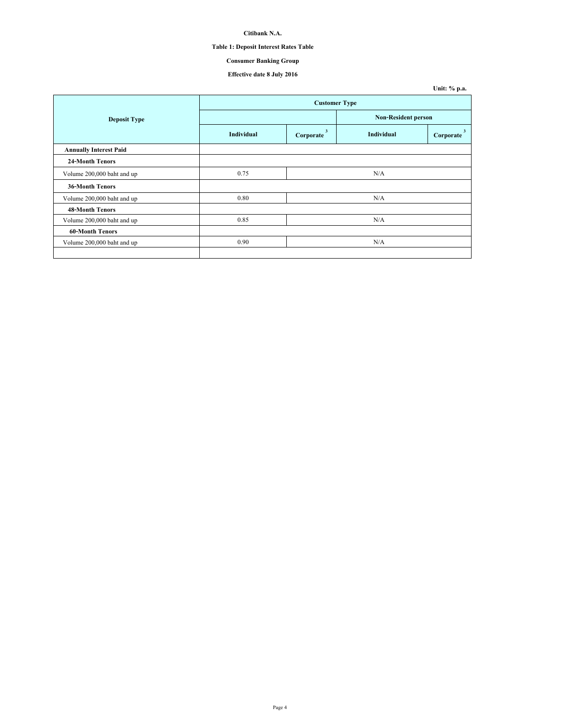# **Table 1: Deposit Interest Rates Table**

# **Consumer Banking Group**

|                               |                      |                           |                            | Unit: % p.a.   |  |
|-------------------------------|----------------------|---------------------------|----------------------------|----------------|--|
|                               | <b>Customer Type</b> |                           |                            |                |  |
| <b>Deposit Type</b>           |                      |                           | <b>Non-Resident person</b> |                |  |
|                               | <b>Individual</b>    | $\mathbf{3}$<br>Corporate | Individual                 | 3<br>Corporate |  |
| <b>Annually Interest Paid</b> |                      |                           |                            |                |  |
| 24-Month Tenors               |                      |                           |                            |                |  |
| Volume 200,000 baht and up    | 0.75                 |                           | N/A                        |                |  |
| <b>36-Month Tenors</b>        |                      |                           |                            |                |  |
| Volume 200,000 baht and up    | 0.80                 |                           | N/A                        |                |  |
| <b>48-Month Tenors</b>        |                      |                           |                            |                |  |
| Volume 200,000 baht and up    | 0.85                 |                           | N/A                        |                |  |
| <b>60-Month Tenors</b>        |                      |                           |                            |                |  |
| Volume 200,000 baht and up    | 0.90                 |                           | N/A                        |                |  |
|                               |                      |                           |                            |                |  |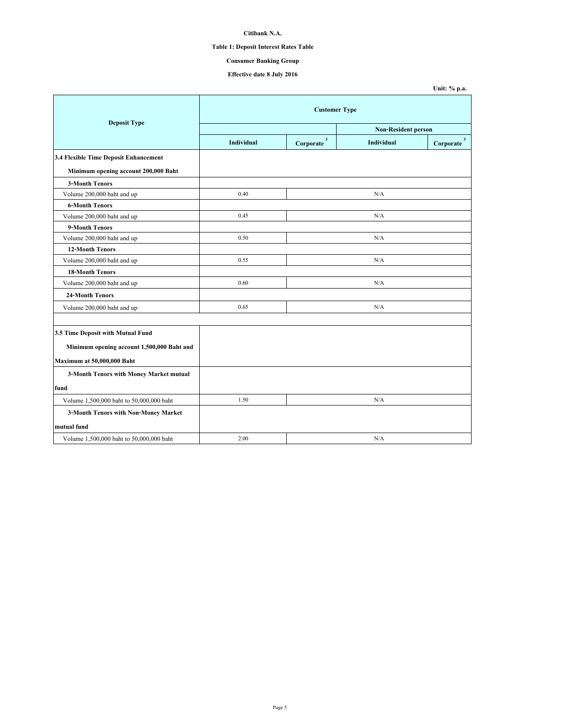# **Table 1: Deposit Interest Rates Table**

# **Consumer Banking Group**

|                                            |                            |                          |            | Unit: % p.a.           |  |
|--------------------------------------------|----------------------------|--------------------------|------------|------------------------|--|
|                                            | <b>Customer Type</b>       |                          |            |                        |  |
| <b>Deposit Type</b>                        | <b>Non-Resident person</b> |                          |            |                        |  |
|                                            | <b>Individual</b>          | $\mathbf 3$<br>Corporate | Individual | Corporate <sup>3</sup> |  |
| 3.4 Flexible Time Deposit Enhancement      |                            |                          |            |                        |  |
| Minimum opening account 200,000 Baht       |                            |                          |            |                        |  |
| <b>3-Month Tenors</b>                      |                            |                          |            |                        |  |
| Volume 200,000 baht and up                 | 0.40                       |                          | N/A        |                        |  |
| <b>6-Month Tenors</b>                      |                            |                          |            |                        |  |
| Volume 200,000 baht and up                 | 0.45                       |                          | N/A        |                        |  |
| 9-Month Tenors                             |                            |                          |            |                        |  |
| Volume 200,000 baht and up                 | 0.50                       |                          | N/A        |                        |  |
| <b>12-Month Tenors</b>                     |                            |                          |            |                        |  |
| Volume 200,000 baht and up                 | 0.55                       |                          | N/A        |                        |  |
| <b>18-Month Tenors</b>                     |                            |                          |            |                        |  |
| Volume 200,000 baht and up                 | 0.60                       |                          | N/A        |                        |  |
| 24-Month Tenors                            |                            |                          |            |                        |  |
| Volume 200,000 baht and up                 | 0.65                       |                          | N/A        |                        |  |
|                                            |                            |                          |            |                        |  |
| 3.5 Time Deposit with Mutual Fund          |                            |                          |            |                        |  |
| Minimum opening account 1,500,000 Baht and |                            |                          |            |                        |  |
| Maximum at 50,000,000 Baht                 |                            |                          |            |                        |  |
| 3-Month Tenors with Money Market mutual    |                            |                          |            |                        |  |
| fund                                       |                            |                          |            |                        |  |
| Volume 1,500,000 baht to 50,000,000 baht   | 1.50                       |                          | N/A        |                        |  |
| 3-Month Tenors with Non-Money Market       |                            |                          |            |                        |  |
| mutual fund                                |                            |                          |            |                        |  |
| Volume 1,500,000 baht to 50,000,000 baht   | 2.00                       |                          | N/A        |                        |  |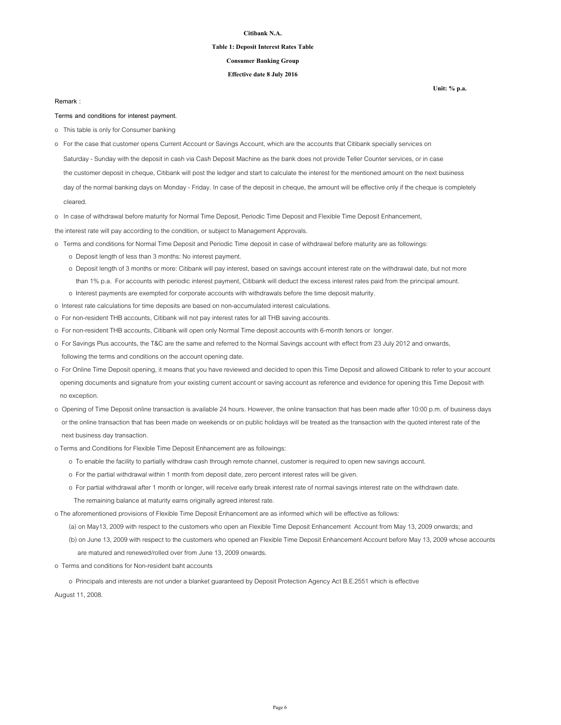#### **Table 1: Deposit Interest Rates Table**

### **Consumer Banking Group**

### **Effective date 8 July 2016**

**Unit: % p.a.**

#### **Remark :**

**Terms and conditions for interest payment.**

- o This table is only for Consumer banking
- o For the case that customer opens Current Account or Savings Account, which are the accounts that Citibank specially services on
- Saturday Sunday with the deposit in cash via Cash Deposit Machine as the bank does not provide Teller Counter services, or in case
- the customer deposit in cheque, Citibank will post the ledger and start to calculate the interest for the mentioned amount on the next business

 day of the normal banking days on Monday - Friday. In case of the deposit in cheque, the amount will be effective only if the cheque is completely cleared.

o In case of withdrawal before maturity for Normal Time Deposit, Periodic Time Deposit and Flexible Time Deposit Enhancement,

the interest rate will pay according to the condition, or subject to Management Approvals.

- o Terms and conditions for Normal Time Deposit and Periodic Time deposit in case of withdrawal before maturity are as followings:
	- o Deposit length of less than 3 months: No interest payment.
	- o Deposit length of 3 months or more: Citibank will pay interest, based on savings account interest rate on the withdrawal date, but not more than 1% p.a. For accounts with periodic interest payment, Citibank will deduct the excess interest rates paid from the principal amount.
	- o Interest payments are exempted for corporate accounts with withdrawals before the time deposit maturity.
- o Interest rate calculations for time deposits are based on non-accumulated interest calculations.
- o For non-resident THB accounts, Citibank will not pay interest rates for all THB saving accounts.
- o For non-resident THB accounts, Citibank will open only Normal Time deposit accounts with 6-month tenors or longer.
- o For Savings Plus accounts, the T&C are the same and referred to the Normal Savings account with effect from 23 July 2012 and onwards, following the terms and conditions on the account opening date.
- o For Online Time Deposit opening, it means that you have reviewed and decided to open this Time Deposit and allowed Citibank to refer to your account opening documents and signature from your existing current account or saving account as reference and evidence for opening this Time Deposit with no exception.
- o Opening of Time Deposit online transaction is available 24 hours. However, the online transaction that has been made after 10:00 p.m. of business days or the online transaction that has been made on weekends or on public holidays will be treated as the transaction with the quoted interest rate of the next business day transaction.
- o Terms and Conditions for Flexible Time Deposit Enhancement are as followings:
	- o To enable the facility to partially withdraw cash through remote channel, customer is required to open new savings account.
	- o For the partial withdrawal within 1 month from deposit date, zero percent interest rates will be given.
	- o For partial withdrawal after 1 month or longer, will receive early break interest rate of normal savings interest rate on the withdrawn date.
	- The remaining balance at maturity earns originally agreed interest rate.

o The aforementioned provisions of Flexible Time Deposit Enhancement are as informed which will be effective as follows:

- (a) on May13, 2009 with respect to the customers who open an Flexible Time Deposit Enhancement Account from May 13, 2009 onwards; and
- (b) on June 13, 2009 with respect to the customers who opened an Flexible Time Deposit Enhancement Account before May 13, 2009 whose accounts
	- are matured and renewed/rolled over from June 13, 2009 onwards.
- o Terms and conditions for Non-resident baht accounts

 o Principals and interests are not under a blanket guaranteed by Deposit Protection Agency Act B.E.2551 which is effective August 11, 2008.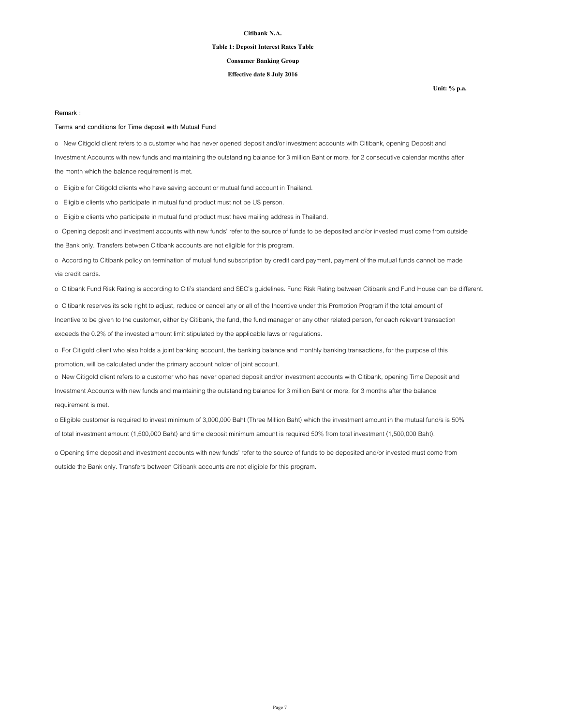#### **Table 1: Deposit Interest Rates Table**

### **Consumer Banking Group**

### **Effective date 8 July 2016**

**Unit: % p.a.**

#### **Remark :**

#### **Terms and conditions for Time deposit with Mutual Fund**

o New Citigold client refers to a customer who has never opened deposit and/or investment accounts with Citibank, opening Deposit and Investment Accounts with new funds and maintaining the outstanding balance for 3 million Baht or more, for 2 consecutive calendar months after the month which the balance requirement is met.

o Eligible for Citigold clients who have saving account or mutual fund account in Thailand.

o Eligible clients who participate in mutual fund product must not be US person.

o Eligible clients who participate in mutual fund product must have mailing address in Thailand.

o Opening deposit and investment accounts with new funds' refer to the source of funds to be deposited and/or invested must come from outside

the Bank only. Transfers between Citibank accounts are not eligible for this program.

o According to Citibank policy on termination of mutual fund subscription by credit card payment, payment of the mutual funds cannot be made via credit cards.

o Citibank Fund Risk Rating is according to Citi's standard and SEC's guidelines. Fund Risk Rating between Citibank and Fund House can be different.

o Citibank reserves its sole right to adjust, reduce or cancel any or all of the Incentive under this Promotion Program if the total amount of Incentive to be given to the customer, either by Citibank, the fund, the fund manager or any other related person, for each relevant transaction exceeds the 0.2% of the invested amount limit stipulated by the applicable laws or regulations.

o For Citigold client who also holds a joint banking account, the banking balance and monthly banking transactions, for the purpose of this promotion, will be calculated under the primary account holder of joint account.

o New Citigold client refers to a customer who has never opened deposit and/or investment accounts with Citibank, opening Time Deposit and Investment Accounts with new funds and maintaining the outstanding balance for 3 million Baht or more, for 3 months after the balance requirement is met.

o Eligible customer is required to invest minimum of 3,000,000 Baht (Three Million Baht) which the investment amount in the mutual fund/s is 50% of total investment amount (1,500,000 Baht) and time deposit minimum amount is required 50% from total investment (1,500,000 Baht).

o Opening time deposit and investment accounts with new funds' refer to the source of funds to be deposited and/or invested must come from outside the Bank only. Transfers between Citibank accounts are not eligible for this program.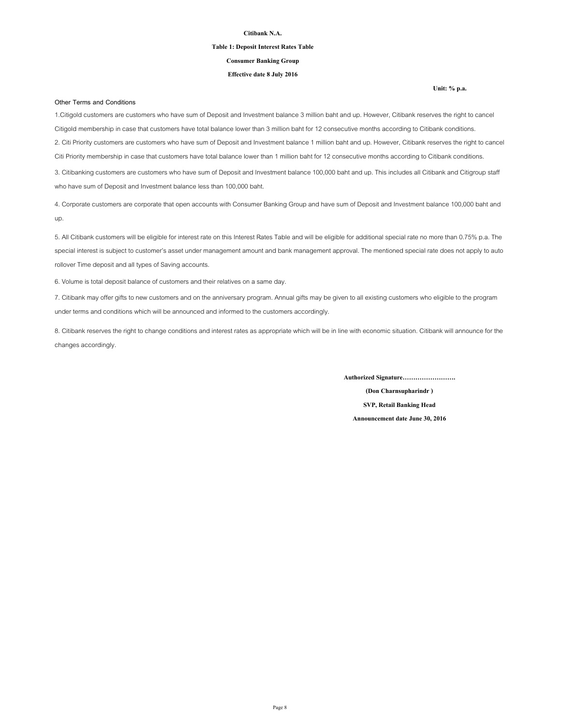#### **Table 1: Deposit Interest Rates Table**

**Consumer Banking Group**

### **Effective date 8 July 2016**

#### **Other Terms and Conditions**

1.Citigold customers are customers who have sum of Deposit and Investment balance 3 million baht and up. However, Citibank reserves the right to cancel Citigold membership in case that customers have total balance lower than 3 million baht for 12 consecutive months according to Citibank conditions. 2. Citi Priority customers are customers who have sum of Deposit and Investment balance 1 million baht and up. However, Citibank reserves the right to cancel Citi Priority membership in case that customers have total balance lower than 1 million baht for 12 consecutive months according to Citibank conditions. 3. Citibanking customers are customers who have sum of Deposit and Investment balance 100,000 baht and up. This includes all Citibank and Citigroup staff who have sum of Deposit and Investment balance less than 100,000 baht.

4. Corporate customers are corporate that open accounts with Consumer Banking Group and have sum of Deposit and Investment balance 100,000 baht and up.

5. All Citibank customers will be eligible for interest rate on this Interest Rates Table and will be eligible for additional special rate no more than 0.75% p.a. The special interest is subject to customer's asset under management amount and bank management approval. The mentioned special rate does not apply to auto rollover Time deposit and all types of Saving accounts.

6. Volume is total deposit balance of customers and their relatives on a same day.

7. Citibank may offer gifts to new customers and on the anniversary program. Annual gifts may be given to all existing customers who eligible to the program under terms and conditions which will be announced and informed to the customers accordingly.

8. Citibank reserves the right to change conditions and interest rates as appropriate which will be in line with economic situation. Citibank will announce for the changes accordingly.

**Authorized Signature…………………….**

**(Don Charnsupharindr ) SVP, Retail Banking Head Announcement date June 30, 2016**

#### **Unit: % p.a.**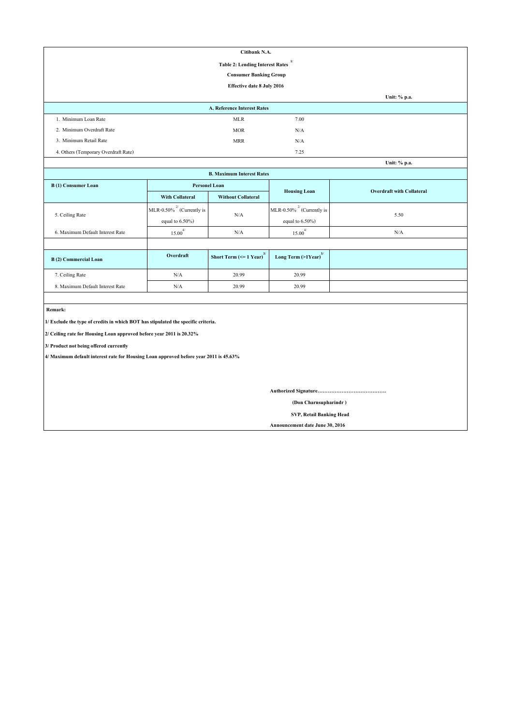| Citibank N.A.                                |                             |      |              |  |  |
|----------------------------------------------|-----------------------------|------|--------------|--|--|
| 1/<br><b>Table 2: Lending Interest Rates</b> |                             |      |              |  |  |
| <b>Consumer Banking Group</b>                |                             |      |              |  |  |
|                                              | Effective date 8 July 2016  |      |              |  |  |
|                                              |                             |      | Unit: % p.a. |  |  |
|                                              | A. Reference Interest Rates |      |              |  |  |
| 1. Minimum Loan Rate                         | <b>MLR</b>                  | 7.00 |              |  |  |
| 2. Minimum Overdraft Rate                    | <b>MOR</b>                  | N/A  |              |  |  |
| 3. Minimum Retail Rate                       | <b>MRR</b>                  | N/A  |              |  |  |
| 4. Others (Temporary Overdraft Rate)         |                             | 7.25 |              |  |  |
|                                              |                             |      | Unit: % p.a. |  |  |

| Unit: % p.a.                     |                                 |                                               |                                     |                                  |  |  |
|----------------------------------|---------------------------------|-----------------------------------------------|-------------------------------------|----------------------------------|--|--|
| <b>B. Maximum Interest Rates</b> |                                 |                                               |                                     |                                  |  |  |
| B(1) Consumer Loan               | <b>Personel Loan</b>            |                                               |                                     | <b>Overdraft with Collateral</b> |  |  |
|                                  | <b>With Collateral</b>          | <b>Without Collateral</b>                     | <b>Housing Loan</b>                 |                                  |  |  |
|                                  | MLR-0.50% $^{27}$ (Currently is | N/A                                           | MLR-0.50% $^{27}$ (Currently is     | 5.50                             |  |  |
| 5. Ceiling Rate                  | equal to $6.50\%$ )             |                                               | equal to $6.50\%$ )                 |                                  |  |  |
| 6. Maximum Default Interest Rate | $15.00^{4/}$                    | N/A                                           | $\overline{4}$<br>15.00             | N/A                              |  |  |
|                                  |                                 |                                               |                                     |                                  |  |  |
| B(2) Commercial Loan             | Overdraft                       | Short Term $\left(\leq 1$ Year) <sup>3/</sup> | Long Term $(>1$ Year) <sup>3/</sup> |                                  |  |  |
| 7. Ceiling Rate                  | N/A                             | 20.99                                         | 20.99                               |                                  |  |  |
| 8. Maximum Default Interest Rate | N/A                             | 20.99                                         | 20.99                               |                                  |  |  |

 **Remark:**

**1/ Exclude the type of credits in which BOT has stipulated the specific criteria.**

**2/ Ceiling rate for Housing Loan approved before year 2011 is 20.32%**

**3/ Product not being offered currently**

**4/ Maximum default interest rate for Housing Loan approved before year 2011 is 45.63%**

**Authorized Signature………………………………….**

 **(Don Charnsupharindr )**

 **SVP, Retail Banking Head**

**Announcement date June 30, 2016**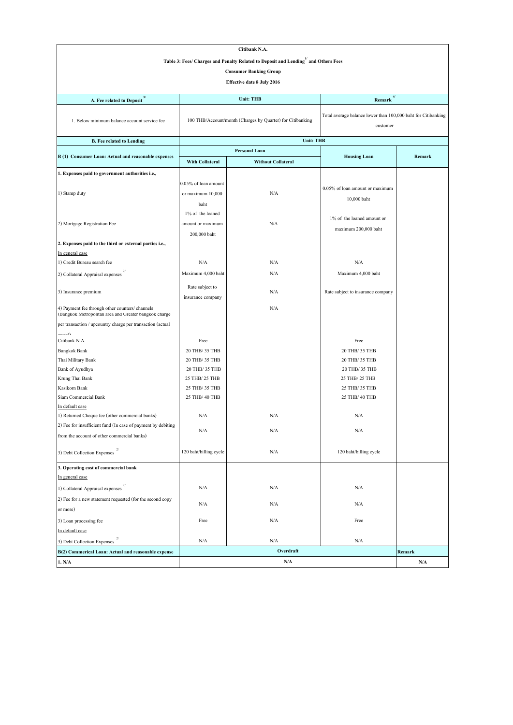| Citibank N.A.                                                                                            |                                                                                                 |                                                            |                                                               |           |  |  |
|----------------------------------------------------------------------------------------------------------|-------------------------------------------------------------------------------------------------|------------------------------------------------------------|---------------------------------------------------------------|-----------|--|--|
|                                                                                                          | Table 3: Fees/ Charges and Penalty Related to Deposit and Lending <sup>1/</sup> and Others Fees |                                                            |                                                               |           |  |  |
|                                                                                                          | <b>Consumer Banking Group</b>                                                                   |                                                            |                                                               |           |  |  |
|                                                                                                          |                                                                                                 | <b>Effective date 8 July 2016</b>                          |                                                               |           |  |  |
|                                                                                                          |                                                                                                 |                                                            |                                                               |           |  |  |
| A. Fee related to Deposit <sup>3/</sup>                                                                  |                                                                                                 | <b>Unit: THB</b>                                           | 4/<br>Remark                                                  |           |  |  |
|                                                                                                          |                                                                                                 |                                                            | Total average balance lower than 100,000 baht for Citibanking |           |  |  |
| 1. Below minimum balance account service fee                                                             |                                                                                                 | 100 THB/Account/month (Charges by Quarter) for Citibanking | customer                                                      |           |  |  |
| <b>B.</b> Fee related to Lending                                                                         |                                                                                                 | <b>Unit: THB</b>                                           |                                                               |           |  |  |
| B (1) Consumer Loan: Actual and reasonable expenses                                                      |                                                                                                 | Personal Loan                                              | <b>Housing Loan</b>                                           | Remark    |  |  |
|                                                                                                          | <b>With Collateral</b>                                                                          | <b>Without Collateral</b>                                  |                                                               |           |  |  |
| 1. Expenses paid to government authorities i.e.,                                                         |                                                                                                 |                                                            |                                                               |           |  |  |
|                                                                                                          | 0.05% of loan amount                                                                            |                                                            |                                                               |           |  |  |
| 1) Stamp duty                                                                                            | or maximum 10,000                                                                               | N/A                                                        | 0.05% of loan amount or maximum                               |           |  |  |
|                                                                                                          | baht                                                                                            |                                                            | 10,000 baht                                                   |           |  |  |
|                                                                                                          | 1% of the loaned                                                                                |                                                            |                                                               |           |  |  |
| 2) Mortgage Registration Fee                                                                             | amount or maximum                                                                               | N/A                                                        | 1% of the loaned amount or                                    |           |  |  |
|                                                                                                          |                                                                                                 |                                                            | maximum 200,000 baht                                          |           |  |  |
| 2. Expenses paid to the third or external parties i.e.,                                                  | 200,000 baht                                                                                    |                                                            |                                                               |           |  |  |
|                                                                                                          |                                                                                                 |                                                            |                                                               |           |  |  |
| In general case<br>1) Credit Bureau search fee                                                           | N/A                                                                                             | N/A                                                        | N/A                                                           |           |  |  |
|                                                                                                          |                                                                                                 |                                                            |                                                               |           |  |  |
| 2) Collateral Appraisal expenses                                                                         | Maximum 4,000 baht                                                                              | N/A                                                        | Maximum 4,000 baht                                            |           |  |  |
| 3) Insurance premium                                                                                     | Rate subject to                                                                                 | N/A                                                        | Rate subject to insurance company                             |           |  |  |
|                                                                                                          | insurance company                                                                               |                                                            |                                                               |           |  |  |
| 4) Payment fee through other counters/ channels<br>(Bangkok Metropolitan area and Greater bangkok charge |                                                                                                 | N/A                                                        |                                                               |           |  |  |
| per transaction / upcountry charge per transaction (actual                                               |                                                                                                 |                                                            |                                                               |           |  |  |
| أأأمغمت                                                                                                  |                                                                                                 |                                                            |                                                               |           |  |  |
| Citibank N.A.                                                                                            | Free                                                                                            |                                                            | Free                                                          |           |  |  |
| <b>Bangkok Bank</b>                                                                                      | 20 THB/ 35 THB                                                                                  |                                                            | 20 THB/ 35 THB                                                |           |  |  |
| Thai Military Bank                                                                                       | 20 THB/ 35 THB                                                                                  |                                                            | 20 THB/ 35 THB                                                |           |  |  |
| Bank of Ayudhya                                                                                          | 20 THB/ 35 THB                                                                                  |                                                            | 20 THB/ 35 THB                                                |           |  |  |
| Krung Thai Bank                                                                                          | 25 THB/ 25 THB                                                                                  |                                                            | 25 THB/ 25 THB                                                |           |  |  |
| Kasikorn Bank                                                                                            | 25 THB/ 35 THB                                                                                  |                                                            | 25 THB/ 35 THB                                                |           |  |  |
| Siam Commercial Bank                                                                                     | 25 THB/ 40 THB                                                                                  |                                                            | 25 THB/ 40 THB                                                |           |  |  |
| In default case                                                                                          |                                                                                                 |                                                            |                                                               |           |  |  |
| 1) Returned Cheque fee (other commercial banks)                                                          | N/A                                                                                             | N/A                                                        | N/A                                                           |           |  |  |
| 2) Fee for insufficient fund (In case of payment by debiting                                             | N/A                                                                                             | N/A                                                        | N/A                                                           |           |  |  |
| from the account of other commercial banks)                                                              |                                                                                                 |                                                            |                                                               |           |  |  |
| 3) Debt Collection Expenses $2/$                                                                         | 120 baht/billing cycle                                                                          | $\rm N/A$                                                  | 120 baht/billing cycle                                        |           |  |  |
| 3. Operating cost of commercial bank                                                                     |                                                                                                 |                                                            |                                                               |           |  |  |
| In general case                                                                                          |                                                                                                 |                                                            |                                                               |           |  |  |
| 1) Collateral Appraisal expenses                                                                         | N/A                                                                                             | N/A                                                        | N/A                                                           |           |  |  |
| 2) Fee for a new statement requested (for the second copy                                                |                                                                                                 |                                                            |                                                               |           |  |  |
| or more)                                                                                                 | N/A                                                                                             | N/A                                                        | N/A                                                           |           |  |  |
| 3) Loan processing fee                                                                                   | Free                                                                                            | N/A                                                        | Free                                                          |           |  |  |
| In default case                                                                                          |                                                                                                 |                                                            |                                                               |           |  |  |
| 3) Debt Collection Expenses                                                                              | N/A                                                                                             | N/A                                                        | N/A                                                           |           |  |  |
| B(2) Commerical Loan: Actual and reasonable expense                                                      |                                                                                                 | Overdraft                                                  |                                                               | Remark    |  |  |
| 1. N/A                                                                                                   |                                                                                                 | $\rm N/A$                                                  |                                                               | $\rm N/A$ |  |  |
|                                                                                                          |                                                                                                 |                                                            |                                                               |           |  |  |